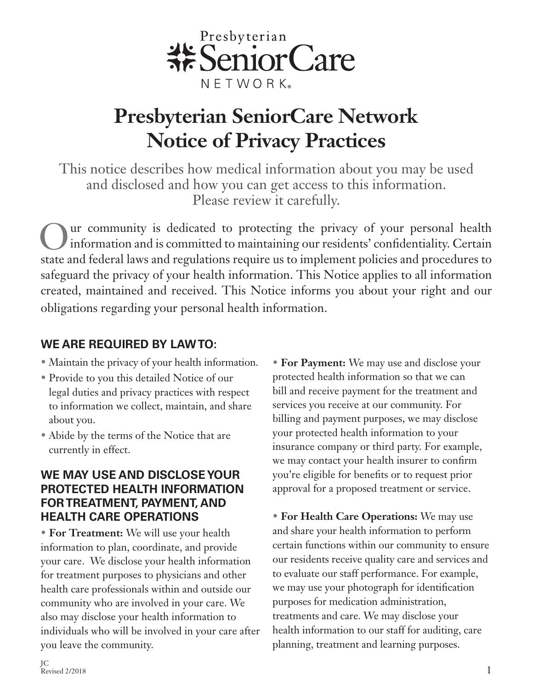

# **Presbyterian SeniorCare Network Notice of Privacy Practices**

This notice describes how medical information about you may be used and disclosed and how you can get access to this information. Please review it carefully.

Our community is dedicated to protecting the privacy of your personal health<br>information and is committed to maintaining our residents' confidentiality. Certain information and is committed to maintaining our residents' confidentiality. Certain state and federal laws and regulations require us to implement policies and procedures to safeguard the privacy of your health information. This Notice applies to all information created, maintained and received. This Notice informs you about your right and our obligations regarding your personal health information.

## **WE ARE REQUIRED BY LAW TO:**

- Maintain the privacy of your health information.
- Provide to you this detailed Notice of our legal duties and privacy practices with respect to information we collect, maintain, and share about you.
- Abide by the terms of the Notice that are currently in effect.

### **WE MAY USE AND DISCLOSE YOUR PROTECTED HEALTH INFORMATION FOR TREATMENT, PAYMENT, AND HEALTH CARE OPERATIONS**

• **For Treatment:** We will use your health information to plan, coordinate, and provide your care. We disclose your health information for treatment purposes to physicians and other health care professionals within and outside our community who are involved in your care. We also may disclose your health information to individuals who will be involved in your care after you leave the community.

• **For Payment:** We may use and disclose your protected health information so that we can bill and receive payment for the treatment and services you receive at our community. For billing and payment purposes, we may disclose your protected health information to your insurance company or third party. For example, we may contact your health insurer to confirm you're eligible for benefits or to request prior approval for a proposed treatment or service.

• **For Health Care Operations:** We may use and share your health information to perform certain functions within our community to ensure our residents receive quality care and services and to evaluate our staff performance. For example, we may use your photograph for identification purposes for medication administration, treatments and care. We may disclose your health information to our staff for auditing, care planning, treatment and learning purposes.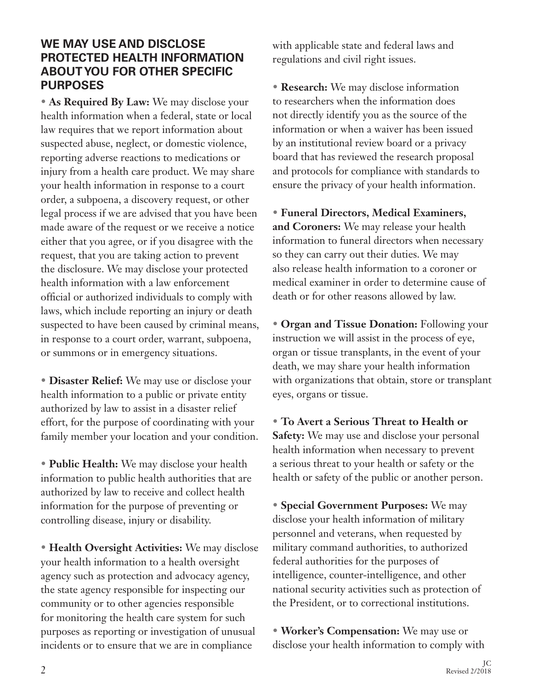#### **WE MAY USE AND DISCLOSE PROTECTED HEALTH INFORMATION ABOUT YOU FOR OTHER SPECIFIC PURPOSES**

• **As Required By Law:** We may disclose your health information when a federal, state or local law requires that we report information about suspected abuse, neglect, or domestic violence, reporting adverse reactions to medications or injury from a health care product. We may share your health information in response to a court order, a subpoena, a discovery request, or other legal process if we are advised that you have been made aware of the request or we receive a notice either that you agree, or if you disagree with the request, that you are taking action to prevent the disclosure. We may disclose your protected health information with a law enforcement official or authorized individuals to comply with laws, which include reporting an injury or death suspected to have been caused by criminal means, in response to a court order, warrant, subpoena, or summons or in emergency situations.

• **Disaster Relief:** We may use or disclose your health information to a public or private entity authorized by law to assist in a disaster relief effort, for the purpose of coordinating with your family member your location and your condition.

• **Public Health:** We may disclose your health information to public health authorities that are authorized by law to receive and collect health information for the purpose of preventing or controlling disease, injury or disability.

• **Health Oversight Activities:** We may disclose your health information to a health oversight agency such as protection and advocacy agency, the state agency responsible for inspecting our community or to other agencies responsible for monitoring the health care system for such purposes as reporting or investigation of unusual incidents or to ensure that we are in compliance

with applicable state and federal laws and regulations and civil right issues.

• **Research:** We may disclose information to researchers when the information does not directly identify you as the source of the information or when a waiver has been issued by an institutional review board or a privacy board that has reviewed the research proposal and protocols for compliance with standards to ensure the privacy of your health information.

• **Funeral Directors, Medical Examiners, and Coroners:** We may release your health information to funeral directors when necessary so they can carry out their duties. We may also release health information to a coroner or medical examiner in order to determine cause of death or for other reasons allowed by law.

• **Organ and Tissue Donation:** Following your instruction we will assist in the process of eye, organ or tissue transplants, in the event of your death, we may share your health information with organizations that obtain, store or transplant eyes, organs or tissue.

• **To Avert a Serious Threat to Health or Safety:** We may use and disclose your personal health information when necessary to prevent a serious threat to your health or safety or the health or safety of the public or another person.

• **Special Government Purposes:** We may disclose your health information of military personnel and veterans, when requested by military command authorities, to authorized federal authorities for the purposes of intelligence, counter-intelligence, and other national security activities such as protection of the President, or to correctional institutions.

• **Worker's Compensation:** We may use or disclose your health information to comply with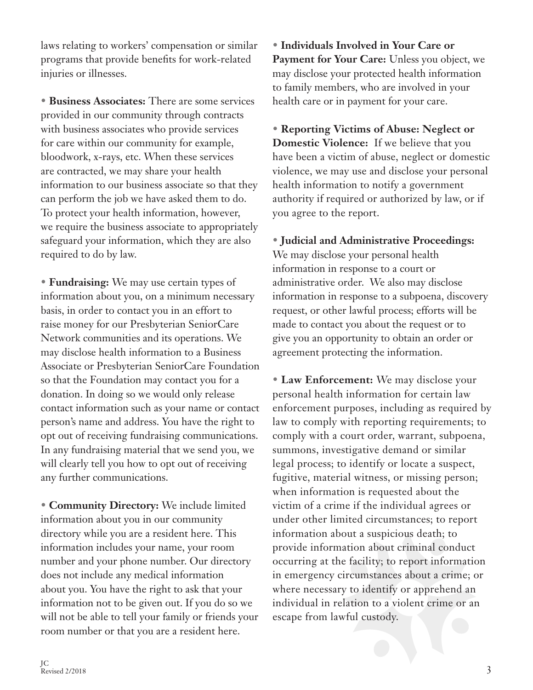laws relating to workers' compensation or similar programs that provide benefits for work-related injuries or illnesses.

• **Business Associates:** There are some services provided in our community through contracts with business associates who provide services for care within our community for example, bloodwork, x-rays, etc. When these services are contracted, we may share your health information to our business associate so that they can perform the job we have asked them to do. To protect your health information, however, we require the business associate to appropriately safeguard your information, which they are also required to do by law.

• **Fundraising:** We may use certain types of information about you, on a minimum necessary basis, in order to contact you in an effort to raise money for our Presbyterian SeniorCare Network communities and its operations. We may disclose health information to a Business Associate or Presbyterian SeniorCare Foundation so that the Foundation may contact you for a donation. In doing so we would only release contact information such as your name or contact person's name and address. You have the right to opt out of receiving fundraising communications. In any fundraising material that we send you, we will clearly tell you how to opt out of receiving any further communications.

• **Community Directory:** We include limited information about you in our community directory while you are a resident here. This information includes your name, your room number and your phone number. Our directory does not include any medical information about you. You have the right to ask that your information not to be given out. If you do so we will not be able to tell your family or friends your room number or that you are a resident here.

• **Individuals Involved in Your Care or**  Payment for Your Care: Unless you object, we may disclose your protected health information to family members, who are involved in your health care or in payment for your care.

• **Reporting Victims of Abuse: Neglect or Domestic Violence:** If we believe that you have been a victim of abuse, neglect or domestic violence, we may use and disclose your personal health information to notify a government authority if required or authorized by law, or if you agree to the report.

• **Judicial and Administrative Proceedings:**  We may disclose your personal health information in response to a court or administrative order. We also may disclose information in response to a subpoena, discovery request, or other lawful process; efforts will be made to contact you about the request or to give you an opportunity to obtain an order or agreement protecting the information.

• **Law Enforcement:** We may disclose your personal health information for certain law enforcement purposes, including as required by law to comply with reporting requirements; to comply with a court order, warrant, subpoena, summons, investigative demand or similar legal process; to identify or locate a suspect, fugitive, material witness, or missing person; when information is requested about the victim of a crime if the individual agrees or under other limited circumstances; to report information about a suspicious death; to provide information about criminal conduct occurring at the facility; to report information in emergency circumstances about a crime; or where necessary to identify or apprehend an individual in relation to a violent crime or an escape from lawful custody.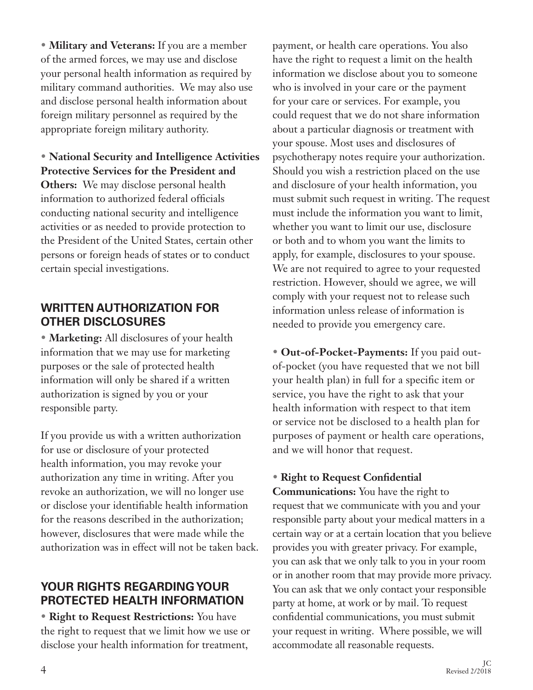• **Military and Veterans:** If you are a member of the armed forces, we may use and disclose your personal health information as required by military command authorities. We may also use and disclose personal health information about foreign military personnel as required by the appropriate foreign military authority.

• **National Security and Intelligence Activities Protective Services for the President and Others:** We may disclose personal health information to authorized federal officials conducting national security and intelligence activities or as needed to provide protection to the President of the United States, certain other persons or foreign heads of states or to conduct certain special investigations.

### **WRITTEN AUTHORIZATION FOR OTHER DISCLOSURES**

• **Marketing:** All disclosures of your health information that we may use for marketing purposes or the sale of protected health information will only be shared if a written authorization is signed by you or your responsible party.

If you provide us with a written authorization for use or disclosure of your protected health information, you may revoke your authorization any time in writing. After you revoke an authorization, we will no longer use or disclose your identifiable health information for the reasons described in the authorization; however, disclosures that were made while the authorization was in effect will not be taken back.

### **YOUR RIGHTS REGARDING YOUR PROTECTED HEALTH INFORMATION**

• **Right to Request Restrictions:** You have the right to request that we limit how we use or disclose your health information for treatment,

payment, or health care operations. You also have the right to request a limit on the health information we disclose about you to someone who is involved in your care or the payment for your care or services. For example, you could request that we do not share information about a particular diagnosis or treatment with your spouse. Most uses and disclosures of psychotherapy notes require your authorization. Should you wish a restriction placed on the use and disclosure of your health information, you must submit such request in writing. The request must include the information you want to limit, whether you want to limit our use, disclosure or both and to whom you want the limits to apply, for example, disclosures to your spouse. We are not required to agree to your requested restriction. However, should we agree, we will comply with your request not to release such information unless release of information is needed to provide you emergency care.

• **Out-of-Pocket-Payments:** If you paid outof-pocket (you have requested that we not bill your health plan) in full for a specific item or service, you have the right to ask that your health information with respect to that item or service not be disclosed to a health plan for purposes of payment or health care operations, and we will honor that request.

## • **Right to Request Confidential**

**Communications:** You have the right to request that we communicate with you and your responsible party about your medical matters in a certain way or at a certain location that you believe provides you with greater privacy. For example, you can ask that we only talk to you in your room or in another room that may provide more privacy. You can ask that we only contact your responsible party at home, at work or by mail. To request confidential communications, you must submit your request in writing. Where possible, we will accommodate all reasonable requests.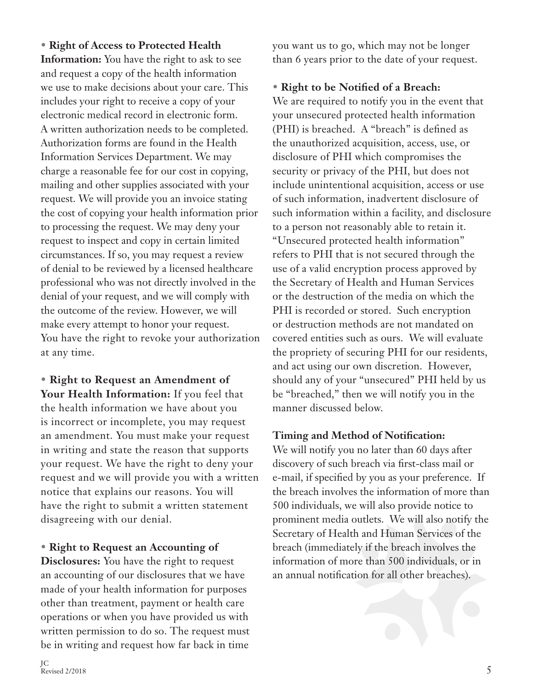• **Right of Access to Protected Health Information:** You have the right to ask to see and request a copy of the health information we use to make decisions about your care. This includes your right to receive a copy of your electronic medical record in electronic form. A written authorization needs to be completed. Authorization forms are found in the Health Information Services Department. We may charge a reasonable fee for our cost in copying, mailing and other supplies associated with your request. We will provide you an invoice stating the cost of copying your health information prior to processing the request. We may deny your request to inspect and copy in certain limited circumstances. If so, you may request a review of denial to be reviewed by a licensed healthcare professional who was not directly involved in the denial of your request, and we will comply with the outcome of the review. However, we will make every attempt to honor your request. You have the right to revoke your authorization at any time.

• **Right to Request an Amendment of Your Health Information:** If you feel that the health information we have about you is incorrect or incomplete, you may request an amendment. You must make your request in writing and state the reason that supports your request. We have the right to deny your request and we will provide you with a written notice that explains our reasons. You will have the right to submit a written statement disagreeing with our denial.

• **Right to Request an Accounting of** 

**Disclosures:** You have the right to request an accounting of our disclosures that we have made of your health information for purposes other than treatment, payment or health care operations or when you have provided us with written permission to do so. The request must be in writing and request how far back in time

you want us to go, which may not be longer than 6 years prior to the date of your request.

# • **Right to be Notified of a Breach:**

We are required to notify you in the event that your unsecured protected health information (PHI) is breached. A "breach" is defined as the unauthorized acquisition, access, use, or disclosure of PHI which compromises the security or privacy of the PHI, but does not include unintentional acquisition, access or use of such information, inadvertent disclosure of such information within a facility, and disclosure to a person not reasonably able to retain it. "Unsecured protected health information" refers to PHI that is not secured through the use of a valid encryption process approved by the Secretary of Health and Human Services or the destruction of the media on which the PHI is recorded or stored. Such encryption or destruction methods are not mandated on covered entities such as ours. We will evaluate the propriety of securing PHI for our residents, and act using our own discretion. However, should any of your "unsecured" PHI held by us be "breached," then we will notify you in the manner discussed below.

# **Timing and Method of Notification:**

We will notify you no later than 60 days after discovery of such breach via first-class mail or e-mail, if specified by you as your preference. If the breach involves the information of more than 500 individuals, we will also provide notice to prominent media outlets. We will also notify the Secretary of Health and Human Services of the breach (immediately if the breach involves the information of more than 500 individuals, or in an annual notification for all other breaches).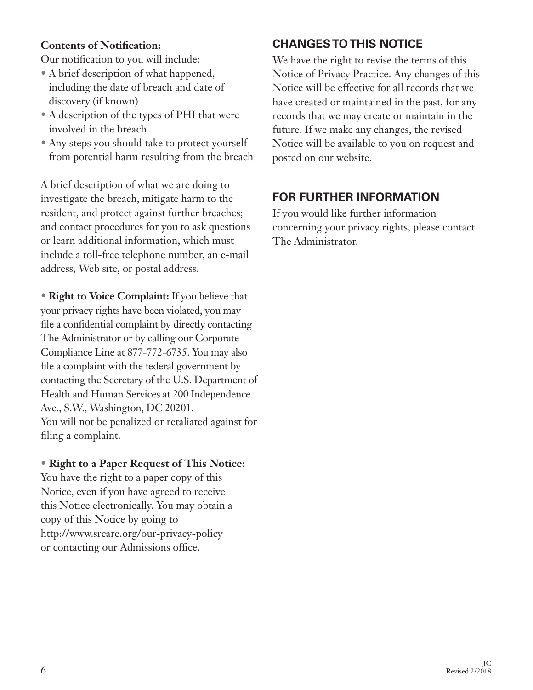#### **Contents of Notification:**

Our notification to you will include:

- A brief description of what happened, including the date of breach and date of discovery (if known)
- A description of the types of PHI that were involved in the breach
- Any steps you should take to protect yourself from potential harm resulting from the breach

A brief description of what we are doing to investigate the breach, mitigate harm to the resident, and protect against further breaches; and contact procedures for you to ask questions or learn additional information, which must include a toll-free telephone number, an e-mail address, Web site, or postal address.

• **Right to Voice Complaint:** If you believe that your privacy rights have been violated, you may file a confidential complaint by directly contacting The Administrator or by calling our Corporate Compliance Line at 877-772-6735. You may also file a complaint with the federal government by contacting the Secretary of the U.S. Department of Health and Human Services at 200 Independence Ave., S.W., Washington, DC 20201. You will not be penalized or retaliated against for filing a complaint.

#### • **Right to a Paper Request of This Notice:**

You have the right to a paper copy of this Notice, even if you have agreed to receive this Notice electronically. You may obtain a copy of this Notice by going to http://www.srcare.org/our-privacy-policy or contacting our Admissions office.

# **CHANGES TO THIS NOTICE**

We have the right to revise the terms of this Notice of Privacy Practice. Any changes of this Notice will be effective for all records that we have created or maintained in the past, for any records that we may create or maintain in the future. If we make any changes, the revised Notice will be available to you on request and posted on our website.

# **FOR FURTHER INFORMATION**

If you would like further information concerning your privacy rights, please contact The Administrator.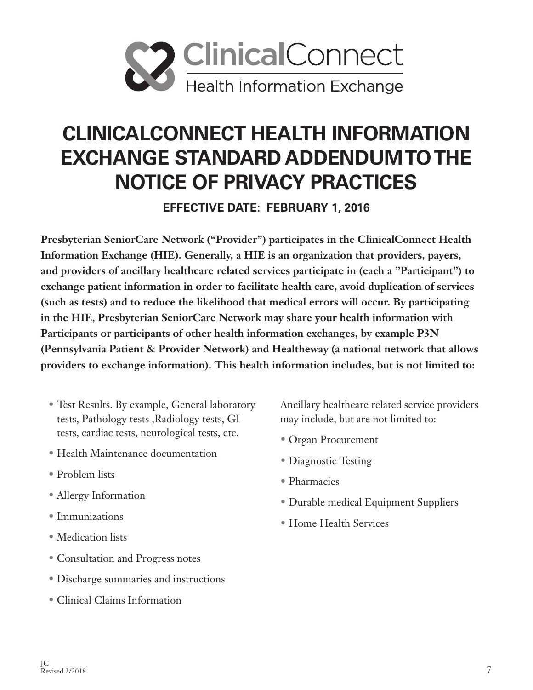

# **CLINICALCONNECT HEALTH INFORMATION EXCHANGE STANDARD ADDENDUM TO THE NOTICE OF PRIVACY PRACTICES**

**EFFECTIVE DATE: FEBRUARY 1, 2016**

**Presbyterian SeniorCare Network ("Provider") participates in the ClinicalConnect Health Information Exchange (HIE). Generally, a HIE is an organization that providers, payers, and providers of ancillary healthcare related services participate in (each a "Participant") to exchange patient information in order to facilitate health care, avoid duplication of services (such as tests) and to reduce the likelihood that medical errors will occur. By participating in the HIE, Presbyterian SeniorCare Network may share your health information with Participants or participants of other health information exchanges, by example P3N (Pennsylvania Patient & Provider Network) and Healtheway (a national network that allows providers to exchange information). This health information includes, but is not limited to:**

- Test Results. By example, General laboratory tests, Pathology tests ,Radiology tests, GI tests, cardiac tests, neurological tests, etc.
- Health Maintenance documentation
- Problem lists
- Allergy Information
- Immunizations
- Medication lists
- Consultation and Progress notes
- Discharge summaries and instructions
- Clinical Claims Information

Ancillary healthcare related service providers may include, but are not limited to:

- Organ Procurement
- Diagnostic Testing
- Pharmacies
- Durable medical Equipment Suppliers
- Home Health Services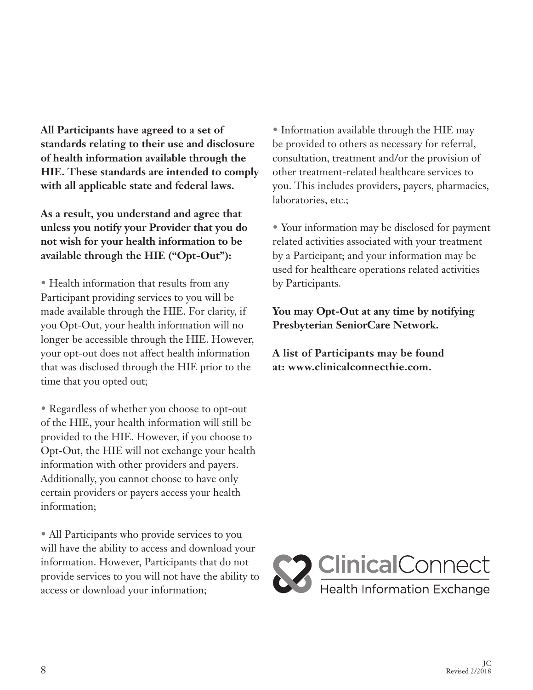**All Participants have agreed to a set of standards relating to their use and disclosure of health information available through the HIE. These standards are intended to comply with all applicable state and federal laws.**

**As a result, you understand and agree that unless you notify your Provider that you do not wish for your health information to be available through the HIE ("Opt-Out"):**

• Health information that results from any Participant providing services to you will be made available through the HIE. For clarity, if you Opt-Out, your health information will no longer be accessible through the HIE. However, your opt-out does not affect health information that was disclosed through the HIE prior to the time that you opted out;

• Regardless of whether you choose to opt-out of the HIE, your health information will still be provided to the HIE. However, if you choose to Opt-Out, the HIE will not exchange your health information with other providers and payers. Additionally, you cannot choose to have only certain providers or payers access your health information;

• All Participants who provide services to you will have the ability to access and download your information. However, Participants that do not provide services to you will not have the ability to access or download your information;

• Information available through the HIE may be provided to others as necessary for referral, consultation, treatment and/or the provision of other treatment-related healthcare services to you. This includes providers, payers, pharmacies, laboratories, etc.;

• Your information may be disclosed for payment related activities associated with your treatment by a Participant; and your information may be used for healthcare operations related activities by Participants.

**You may Opt-Out at any time by notifying Presbyterian SeniorCare Network.** 

**A list of Participants may be found at: www.clinicalconnecthie.com.**

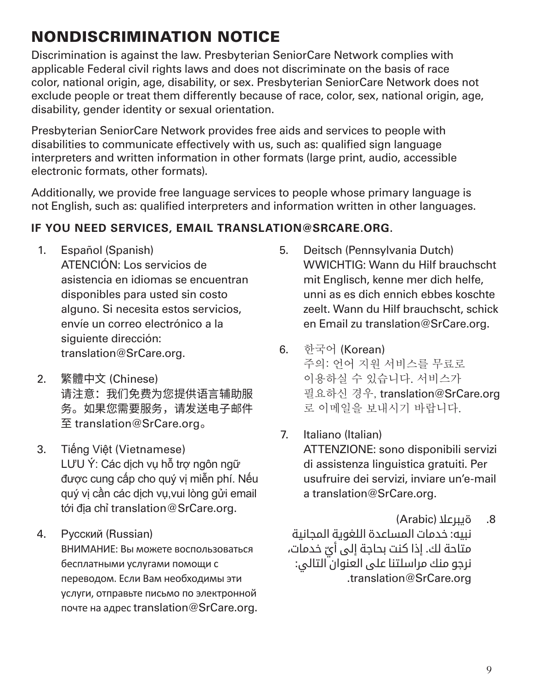# NONDISCRIMINATION NOTICE

Discrimination is against the law. Presbyterian SeniorCare Network complies with applicable Federal civil rights laws and does not discriminate on the basis of race color, national origin, age, disability, or sex. Presbyterian SeniorCare Network does not exclude people or treat them differently because of race, color, sex, national origin, age, disability, gender identity or sexual orientation.

Presbyterian SeniorCare Network provides free aids and services to people with disabilities to communicate effectively with us, such as: qualified sign language interpreters and written information in other formats (large print, audio, accessible electronic formats, other formats).

Additionally, we provide free language services to people whose primary language is not English, such as: qualified interpreters and information written in other languages.

## **IF YOU NEED SERVICES, EMAIL TRANSLATION@SRCARE.ORG.**

- 1. Español (Spanish) ATENCIÓN: Los servicios de asistencia en idiomas se encuentran disponibles para usted sin costo alguno. Si necesita estos servicios, envíe un correo electrónico a la siguiente dirección: translation@SrCare.org.
- 2. 繁體中文 (Chinese) 请注意:我们免费为您提供语言辅助服 务。如果您需要服务,请发送电子邮件 至 translation@SrCare.org 。
- 3. Tiếng Việt (Vietnamese) LƯU Ý: Các dịch vụ hỗ trợ ngôn ngữ được cung cấp cho quý vị miễn phí. Nếu quý vị cần các dịch vụ,vui lòng gửi email tới địa chỉ translation@SrCare.org.
- 4. Русский (Russian) ВНИМАНИЕ: Вы можете воспользоваться бесплатными услугами помощи с переводом. Если Вам необходимы эти услуги, отправьте письмо по электронной почте на адрес translation@SrCare.org.
- 5. Deitsch (Pennsylvania Dutch) WWICHTIG: Wann du Hilf brauchscht mit Englisch, kenne mer dich helfe, unni as es dich ennich ebbes koschte zeelt. Wann du Hilf brauchscht, schick en Email zu translation@SrCare.org.
- 6. 한국어 (Korean) 주의: 언어 지원 서비스를 무료로 이용하실 수 있습니다. 서비스가 필요하신 경우, translation@SrCare.org 로 이메일을 보내시기 바랍니다.
- 7. Italiano (Italian) ATTENZIONE: sono disponibili servizi di assistenza linguistica gratuiti. Per usufruire dei servizi, inviare un'e-mail a translation@SrCare.org.
- .8 ةيبرعال (Arabic( نبيه: خدمات المساعدة اللغوية المجانية متاحة لك. إذا كنت بحاجة إلى أيّ خدمات،<br>. نرجو منك مراسلتنا على العنوان التالي: .translation@SrCare.org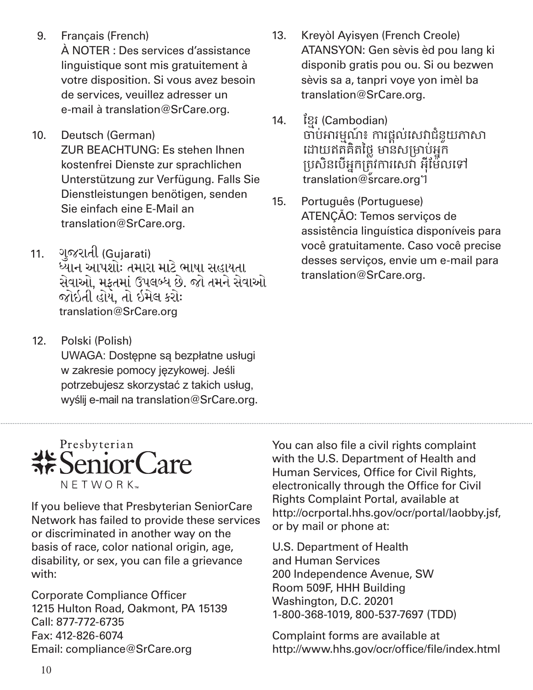- 9. Français (French) À NOTER : Des services d'assistance linguistique sont mis gratuitement à votre disposition. Si vous avez besoin de services, veuillez adresser un e-mail à translation@SrCare.org.
- 10. Deutsch (German) ZUR BEACHTUNG: Es stehen Ihnen kostenfrei Dienste zur sprachlichen Unterstützung zur Verfügung. Falls Sie Dienstleistungen benötigen, senden Sie einfach eine E-Mail an translation@SrCare.org.
- ગુજરાતી (Gujarati)  $11.$ ધ્યાન આપશોઃ તમારા માટે ભાષા સહાયતા સેવાઓ. મકતમાં ઉપલબ્ધ છે. જો તમને સેવાઓ જોઇતી હોય. તો ઇમેલ કરોઃ translation@SrCare.org
- 12. Polski (Polish) UWAGA: Dostępne są bezpłatne usługi w zakresie pomocy językowej. Jeśli potrzebujesz skorzystać z takich usług, wyślij e-mail na translation@SrCare.org.
- 13. Kreyòl Ayisyen (French Creole) ATANSYON: Gen sèvis èd pou lang ki disponib gratis pou ou. Si ou bezwen sèvis sa a, tanpri voye yon imèl ba translation@SrCare.org.
- 14. ខ្មែរ (Cambodian) ចាប់អារមណ៍ ៖ មែ ការផ្តល់សេវាជំនួយភាសា ដោយឥតគិតថ្លៃ មានសម្រាប់អ្នក ម្បេិនសបើអ្នកម្តរូវការសេវា អ៊ីខមែលសៅ translation@srcare.org1
- 15. Português (Portuguese) ATENÇÃO: Temos serviços de assistência linguística disponíveis para você gratuitamente. Caso você precise desses serviços, envie um e-mail para translation@SrCare.org.



If you believe that Presbyterian SeniorCare Network has failed to provide these services or discriminated in another way on the basis of race, color national origin, age, disability, or sex, you can file a grievance with:

Corporate Compliance Officer 1215 Hulton Road, Oakmont, PA 15139 Call: 877-772-6735 Fax: 412-826-6074 Email: compliance@SrCare.org

You can also file a civil rights complaint with the U.S. Department of Health and Human Services, Office for Civil Rights, electronically through the Office for Civil Rights Complaint Portal, available at http://ocrportal.hhs.gov/ocr/portal/laobby.jsf, or by mail or phone at:

U.S. Department of Health and Human Services 200 Independence Avenue, SW Room 509F, HHH Building Washington, D.C. 20201 1-800-368-1019, 800-537-7697 (TDD)

Complaint forms are available at http://www.hhs.gov/ocr/office/file/index.html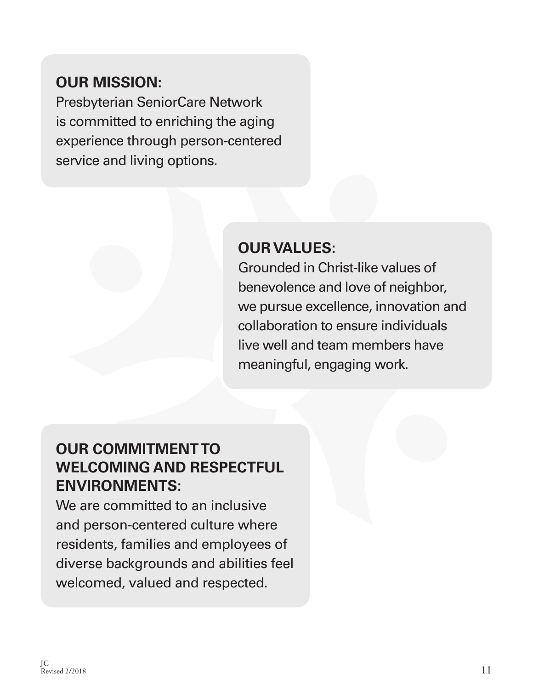# **OUR MISSION:**

Presbyterian SeniorCare Network is committed to enriching the aging experience through person-centered service and living options.

# **OUR VALUES:**

Grounded in Christ-like values of benevolence and love of neighbor, we pursue excellence, innovation and collaboration to ensure individuals live well and team members have meaningful, engaging work.

# **OUR COMMITMENT TO WELCOMING AND RESPECTFUL ENVIRONMENTS:**

We are committed to an inclusive and person-centered culture where residents, families and employees of diverse backgrounds and abilities feel welcomed, valued and respected.